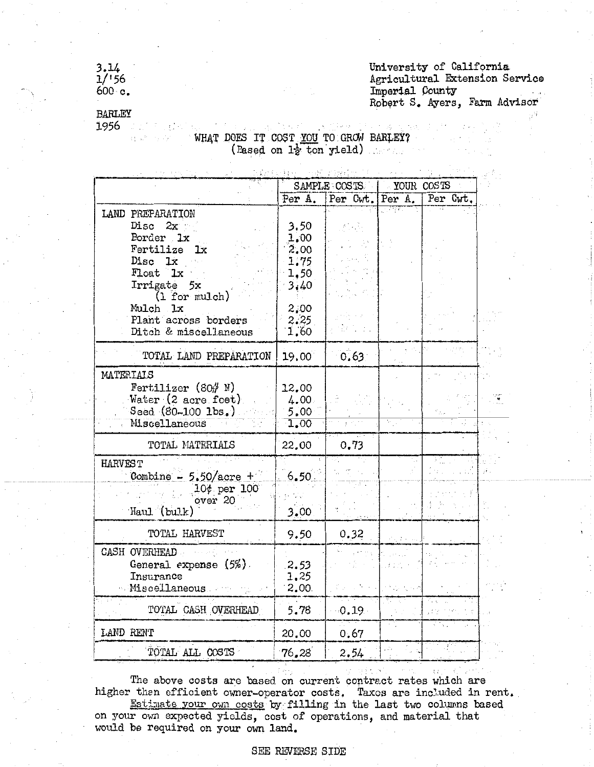## $3.14$ <br> $1/156$  $600 \text{ c.}$

University of California Agricultural Extension Service Imperial County Robert S. Ayers, Farm Advisor

 $\pm$   $\pm$ 

## **BARLEY** 1956

 $\mathbb{R}^{n \times n}$  and WHAT DOES IT COST YOU TO GROW BARLEY? (Rased on  $1\frac{1}{2}$  ton yield)

|                                                                                                                            | SAMPLE COSTS                                 |          | YOUR COSTS     |          |  |
|----------------------------------------------------------------------------------------------------------------------------|----------------------------------------------|----------|----------------|----------|--|
|                                                                                                                            | Per A.                                       | Per Cwt. | Per A.         | Per Cwt. |  |
| LAND PREPARATION<br>Disc<br>2x<br>Porder 1x<br>Fertilize<br>lх<br>Disc 1x<br>Float 1x<br>Irrigate 5x<br>$(1)$ for $mllch)$ | 3.50<br>1.00<br>2,00<br>1.75<br>1.50<br>3,40 |          |                |          |  |
| Mulch 1x<br>Plant across borders<br>Ditch & miscellaneous                                                                  | 2,00<br>2:25<br>1,60                         |          |                |          |  |
| TOTAL LAND PREPARATION                                                                                                     | 19.00                                        | 0.63     |                |          |  |
| MATERIAIS<br>Fertilizer $(80# N)$<br>Water (2 acre feet)<br>Seed $(80 - 100$ $1$ bs.)<br>Miscellaneous                     | 12,00<br>4.00<br>5.00<br>1.00                |          |                |          |  |
| TOTAL MATERIALS                                                                                                            | 22.00                                        | 0.73     |                |          |  |
| <b>HARVEST</b><br>Combine $-5.50/$ acre +<br>$10¢$ per $100^-$<br>over 20<br>Haul (bulk)                                   | 6,50<br>3.00                                 |          |                |          |  |
| TOTAL HARVEST                                                                                                              | 9.50                                         | 0.32     | Vol. 4 million |          |  |
| CASH OVERHEAD<br>General expense $(5%)$ .<br>Insurance<br>Miscellaneous                                                    | 2.53<br>1,25<br>2.00                         |          |                |          |  |
| TOTAL CASH OVERHEAD                                                                                                        | 5.78                                         | $-0.19$  |                |          |  |
| LAND RENT                                                                                                                  | 20.00                                        | 0.67     |                |          |  |
| TOTAL ALL COSTS                                                                                                            | 76.28                                        | 2.54     |                |          |  |

The above costs are based on current contract rates which are higher than efficient owner-operator costs. Taxes are included in rent. Estimate your own costs by filling in the last two columns based on your own expected yields, cost of operations, and material that would be required on your own land.